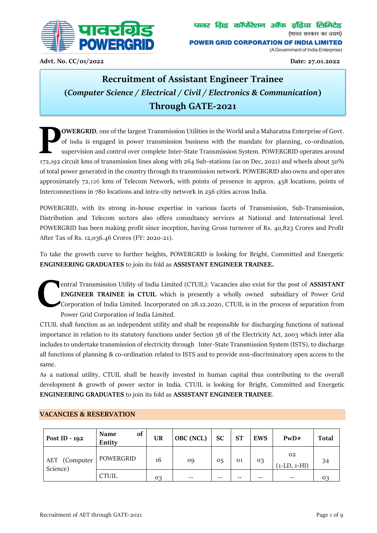

**Advt. No. CC/01/2022 Date: 27.01.2022**

# **Recruitment of Assistant Engineer Trainee (***Computer Science / Electrical / Civil / Electronics & Communication***) Through GATE-2021**

**OWERGRID**, one of the largest Transmission Utilities in the World and a Maharatna Enterprise of Govt. of India is engaged in power transmission business with the mandate for planning, co-ordination, supervision and control over complete Inter-State Transmission System. POWERGRID operates around **172,192 circuit kms of transmission lines along with 264 Sub-stations (as on Dec, 2021) and wheels about 50% aper vision and control over complete Inter-State Transmission System. POWERGRID operates around 172,192 circuit** of total power generated in the country through its transmission network. POWERGRID also owns and oper ates approximately 72,126 kms of Telecom Network, with points of presence in approx. 458 locations, points of Interconnections in 780 locations and intra-city network in 256 cities across India.

POWERGRID, with its strong in-house expertise in various facets of Transmission, Sub-Transmission, Distribution and Telecom sectors also offers consultancy services at National and International level. POWERGRID has been making profit since inception, having Gross turnover of Rs. 40,823 Crores and Profit After Tax of Rs. 12,036.46 Crores (FY: 2020-21).

To take the growth curve to further heights, POWERGRID is looking for Bright, Committed and Energetic **ENGINEERING GRADUATES** to join its fold as **ASSISTANT ENGINEER TRAINEE.**

entral Transmission Utility of India Limited (CTUIL): Vacancies also exist for the post of **ASSISTANT ENGINEER TRAINEE in CTUIL** which is presently a wholly owned subsidiary of Power Grid Corporation of India Limited. Incorporated on 28.12.2020, CTUIL is in the process of separation from Power Grid Corporation of India Limited. **C**

CTUIL shall function as an independent utility and shall be responsible for discharging functions of national importance in relation to its statutory functions under Section 38 of the Electricity Act, 2003 which inter alia includes to undertake transmission of electricity through Inter-State Transmission System (ISTS), to discharge all functions of planning & co-ordination related to ISTS and to provide non-discriminatory open access to the same.

As a national utility, CTUIL shall be heavily invested in human capital thus contributing to the overall development & growth of power sector in India. CTUIL is looking for Bright, Committed and Energetic **ENGINEERING GRADUATES** to join its fold as **ASSISTANT ENGINEER TRAINEE**.

| Post ID - 192                | of<br><b>Name</b><br>Entity | <b>UR</b> | OBC (NCL) | <b>SC</b> | <b>ST</b> | <b>EWS</b> | PWD#                 | <b>Total</b> |
|------------------------------|-----------------------------|-----------|-----------|-----------|-----------|------------|----------------------|--------------|
| (Computer<br>AET<br>Science) | POWERGRID                   | 16        | 09        | 05        | 01        | 03         | 02<br>$(1-LD, 1-HI)$ | 34           |
|                              | <b>CTUIL</b>                | 03        | --        | --        |           | --         | $- -$                | 03           |

## **VACANCIES & RESERVATION**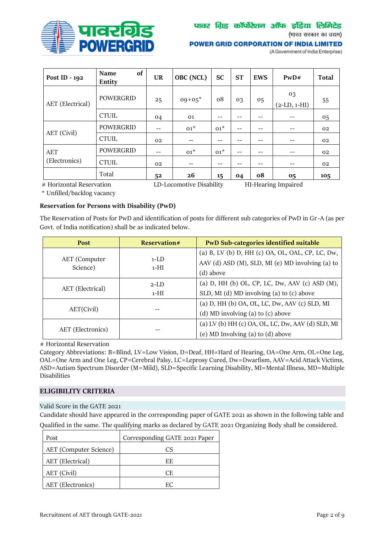

## पावर ग्रिड कॉर्पोरेशन ऑफ इंडिया लिमिटेड

(भारत सरकार का उद्यम)

#### **POWER GRID CORPORATION OF INDIA LIMITED**

(A Government of India Enterprise)

| Post ID - 192    | of<br><b>Name</b><br>Entity | <b>UR</b> | OBC (NCL) | <b>SC</b> | <b>ST</b> | <b>EWS</b>     | PWD#                 | <b>Total</b> |
|------------------|-----------------------------|-----------|-----------|-----------|-----------|----------------|----------------------|--------------|
| AET (Electrical) | <b>POWERGRID</b>            | 25        | $09+05*$  | 08        | 03        | 0 <sub>5</sub> | 03<br>$(2-LD, 1-HI)$ | 55           |
|                  | <b>CTUIL</b>                | 04        | 01        | --        | --        | --             | --                   | 05           |
| AET (Civil)      | <b>POWERGRID</b>            |           | $01^*$    | $01^*$    | $- -$     |                | --                   | 02           |
|                  | <b>CTUIL</b>                | 02        | --        | --        | $- -$     | $- -$          | --                   | 02           |
| <b>AET</b>       | <b>POWERGRID</b>            | $- -$     | $01^*$    | $01^*$    | --        | --             | $- -$                | 02           |
| (Electronics)    | <b>CTUIL</b>                | 02        |           | --        | --        | --             | --                   | 02           |
|                  | Total                       | 52        | 26        | 15        | 04        | ο8             | 05                   | 105          |

# Horizontal Reservation LD-Locomotive Disability HI-Hearing Impaired

\* Unfilled/backlog vacancy

## **Reservation for Persons with Disability (PwD)**

The Reservation of Posts for PwD and identification of posts for different sub categories of PwD in Gr-A (as per Govt. of India notification) shall be as indicated below.

| <b>Post</b>               | <b>Reservation#</b> | <b>PwD Sub-categories identified suitable</b>     |
|---------------------------|---------------------|---------------------------------------------------|
|                           |                     | (a) B, LV (b) D, HH (c) OA, OL, OAL, CP, LC, Dw,  |
| AET (Computer<br>Science) | $1-I.D$<br>$1-HI$   | AAV (d) ASD (M), SLD, MI (e) MD involving (a) to  |
|                           |                     | (d) above                                         |
|                           | $2-I.D$             | (a) D, HH (b) OL, CP, LC, Dw, AAV (c) ASD (M),    |
| AET (Electrical)          | $1-HI$              | SLD, MI (d) MD involving (a) to (c) above         |
|                           |                     | (a) D, HH (b) OA, OL, LC, Dw, AAV (c) SLD, MI     |
| AET(Civil)                |                     | (d) MD involving (a) to $(c)$ above               |
| AET (Electronics)         |                     | (a) LV (b) HH (c) OA, OL, LC, Dw, AAV (d) SLD, MI |
|                           |                     | (e) MD Involving (a) to (d) above                 |

# Horizontal Reservation

Category Abbreviations: B=Blind, LV=Low Vision, D=Deaf, HH=Hard of Hearing, OA=One Arm, OL=One Leg, OAL=One Arm and One Leg, CP=Cerebral Palsy, LC=Leprosy Cured, Dw=Dwarfism, AAV=Acid Attack Victims, ASD=Autism Spectrum Disorder (M=Mild), SLD=Specific Learning Disability, MI=Mental Illness, MD=Multiple Disabilities

## **ELIGIBILITY CRITERIA**

#### Valid Score in the GATE 2021

Candidate should have appeared in the corresponding paper of GATE 2021 as shown in the following table and Qualified in the same. The qualifying marks as declared by GATE 2021 Organizing Body shall be considered.

| Post                          | Corresponding GATE 2021 Paper |
|-------------------------------|-------------------------------|
| <b>AET</b> (Computer Science) | CS                            |
| AET (Electrical)              | EF.                           |
| AET (Civil)                   | CF.                           |
| AET (Electronics)             | EC                            |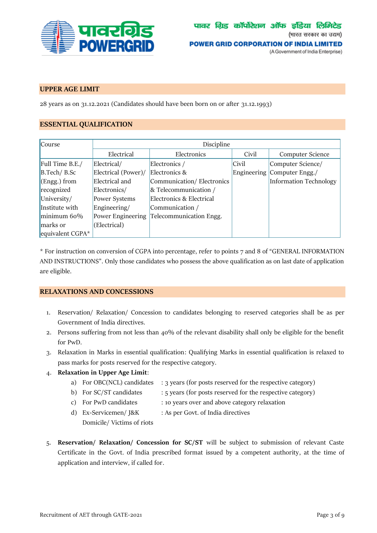

## **UPPER AGE LIMIT**

28 years as on 31.12.2021 (Candidates should have been born on or after 31.12.1993)

## **ESSENTIAL QUALIFICATION**

| <b>Course</b>    | Discipline          |                           |       |                             |  |  |
|------------------|---------------------|---------------------------|-------|-----------------------------|--|--|
|                  | Electrical          | Electronics               | Civil | Computer Science            |  |  |
| Full Time B.E./  | Electrical/         | Electronics /             | Civil | Computer Science/           |  |  |
| $B.Tech/ B.$ Sc  | Electrical (Power)/ | Electronics &             |       | Engineering Computer Engg./ |  |  |
| $(Engg.)$ from   | Electrical and      | Communication/Electronics |       | Information Technology      |  |  |
| recognized       | Electronics/        | & Telecommunication /     |       |                             |  |  |
| University/      | Power Systems       | Electronics & Electrical  |       |                             |  |  |
| Institute with   | Engineering/        | Communication /           |       |                             |  |  |
| minimum 60%      | Power Engineering   | Telecommunication Engg.   |       |                             |  |  |
| marks or         | (Electrical)        |                           |       |                             |  |  |
| equivalent CGPA* |                     |                           |       |                             |  |  |

\* For instruction on conversion of CGPA into percentage, refer to points 7 and 8 of "GENERAL INFORMATION AND INSTRUCTIONS". Only those candidates who possess the above qualification as on last date of application are eligible.

## **RELAXATIONS AND CONCESSIONS**

- 1. Reservation/ Relaxation/ Concession to candidates belonging to reserved categories shall be as per Government of India directives.
- 2. Persons suffering from not less than  $40\%$  of the relevant disability shall only be eligible for the benefit for PwD.
- 3. Relaxation in Marks in essential qualification: Qualifying Marks in essential qualification is relaxed to pass marks for posts reserved for the respective category.
- 4. **Relaxation in Upper Age Limit**:
	- a) For OBC(NCL) candidates : 3 years (for posts reserved for the respective category)
	- b) For SC/ST candidates : 5 years (for posts reserved for the respective category)
	- c) For PwD candidates : 10 years over and above category relaxation
	- d) Ex-Servicemen/ J&K Domicile/ Victims of riots : As per Govt. of India directives
- 5. **Reservation/ Relaxation/ Concession for SC/ST** will be subject to submission of relevant Caste Certificate in the Govt. of India prescribed format issued by a competent authority, at the time of application and interview, if called for.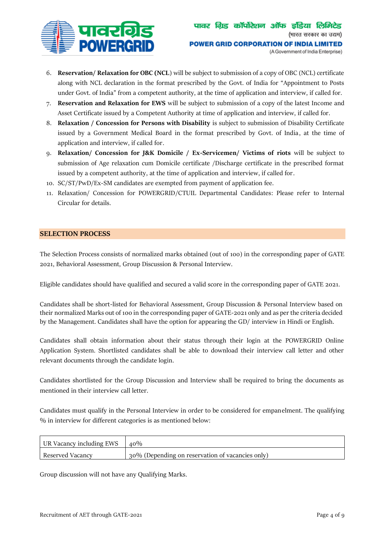

- 6. **Reservation/ Relaxation for OBC (NCL**) will be subject to submission of a copy of OBC (NCL) certificate along with NCL declaration in the format prescribed by the Govt. of India for "Appointment to Posts under Govt. of India" from a competent authority, at the time of application and interview, if called for.
- 7. **Reservation and Relaxation for EWS** will be subject to submission of a copy of the latest Income and Asset Certificate issued by a Competent Authority at time of application and interview, if called for.
- 8. **Relaxation / Concession for Persons with Disability** is subject to submission of Disability Certificate issued by a Government Medical Board in the format prescribed by Govt. of India, at the time of application and interview, if called for.
- 9. **Relaxation/ Concession for J&K Domicile / Ex-Servicemen/ Victims of riots** will be subject to submission of Age relaxation cum Domicile certificate /Discharge certificate in the prescribed format issued by a competent authority, at the time of application and interview, if called for.
- 10. SC/ST/PwD/Ex-SM candidates are exempted from payment of application fee.
- 11. Relaxation/ Concession for POWERGRID/CTUIL Departmental Candidates: Please refer to Internal Circular for details.

## **SELECTION PROCESS**

The Selection Process consists of normalized marks obtained (out of 100) in the corresponding paper of GATE 2021, Behavioral Assessment, Group Discussion & Personal Interview.

Eligible candidates should have qualified and secured a valid score in the corresponding paper of GATE 2021.

Candidates shall be short-listed for Behavioral Assessment, Group Discussion & Personal Interview based on their normalized Marks out of 100 in the corresponding paper of GATE-2021 only and as per the criteria decided by the Management. Candidates shall have the option for appearing the GD/ interview in Hindi or English.

Candidates shall obtain information about their status through their login at the POWERGRID Online Application System. Shortlisted candidates shall be able to download their interview call letter and other relevant documents through the candidate login.

Candidates shortlisted for the Group Discussion and Interview shall be required to bring the documents as mentioned in their interview call letter.

Candidates must qualify in the Personal Interview in order to be considered for empanelment. The qualifying % in interview for different categories is as mentioned below:

| UR Vacancy including EWS | $40\%$                                           |
|--------------------------|--------------------------------------------------|
| Reserved Vacancy         | 30% (Depending on reservation of vacancies only) |

Group discussion will not have any Qualifying Marks.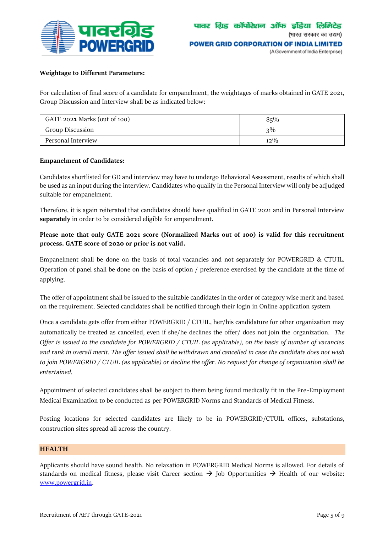

## **Weightage to Different Parameters:**

For calculation of final score of a candidate for empanelment, the weightages of marks obtained in GATE 2021, Group Discussion and Interview shall be as indicated below:

| GATE 2021 Marks (out of 100) | 85%    |
|------------------------------|--------|
| Group Discussion             | $3\%$  |
| Personal Interview           | $12\%$ |

#### **Empanelment of Candidates:**

Candidates shortlisted for GD and interview may have to undergo Behavioral Assessment, results of which shall be used as an input during the interview. Candidates who qualify in the Personal Interview will only be adjudged suitable for empanelment.

Therefore, it is again reiterated that candidates should have qualified in GATE 2021 and in Personal Interview **separately** in order to be considered eligible for empanelment.

**Please note that only GATE 2021 score (Normalized Marks out of 100) is valid for this recruitment process. GATE score of 2020 or prior is not valid.**

Empanelment shall be done on the basis of total vacancies and not separately for POWERGRID & CTUIL. Operation of panel shall be done on the basis of option / preference exercised by the candidate at the time of applying.

The offer of appointment shall be issued to the suitable candidates in the order of category wise merit and based on the requirement. Selected candidates shall be notified through their login in Online application system

Once a candidate gets offer from either POWERGRID / CTUIL, her/his candidature for other organization may automatically be treated as cancelled, even if she/he declines the offer/ does not join the organization. *The Offer is issued to the candidate for POWERGRID / CTUIL (as applicable), on the basis of number of vacancies and rank in overall merit. The offer issued shall be withdrawn and cancelled in case the candidate does not wish to join POWERGRID / CTUIL (as applicable) or decline the offer. No request for change of organization shall be entertained.*

Appointment of selected candidates shall be subject to them being found medically fit in the Pre -Employment Medical Examination to be conducted as per POWERGRID Norms and Standards of Medical Fitness.

[Posting locations](https://www.powergridindia.com/sites/default/files/All-India-Map_SR_WR_ER_NER_NR_UPDATED-Apr%2717.pdf) for selected candidates are likely to be in POWERGRID/CTUIL offices, substations, construction sites spread all across the country.

## **HEALTH**

Applicants should have sound health. No relaxation in POWERGRID Medical Norms is allowed. For details of standards on medical fitness, please visit Career section  $\rightarrow$  Job Opportunities  $\rightarrow$  Health of our website: [www.powergrid.in.](http://www.powergrid.in/)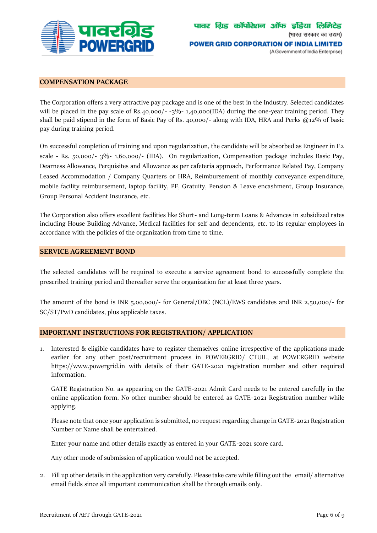

## **COMPENSATION PACKAGE**

The Corporation offers a very attractive pay package and is one of the best in the Industry. Selected candidates will be placed in the pay scale of Rs.40,000/-  $-3\%$ - 1,40,000(IDA) during the one-year training period. They shall be paid stipend in the form of Basic Pay of Rs. 40,000/- along with IDA, HRA and Perks @12% of basic pay during training period.

On successful completion of training and upon regularization, the candidate will be absorbed as Engineer in E2 scale - Rs. 50,000/- 3%- 1,60,000/- (IDA). On regularization, Compensation package includes Basic Pay, Dearness Allowance, Perquisites and Allowance as per cafeteria approach, Performance Related Pay, Company Leased Accommodation / Company Quarters or HRA, Reimbursement of monthly conveyance expenditure, mobile facility reimbursement, laptop facility, PF, Gratuity, Pension & Leave encashment, Group Insurance, Group Personal Accident Insurance, etc.

The Corporation also offers excellent facilities like Short- and Long-term Loans & Advances in subsidized rates including House Building Advance, Medical facilities for self and dependents, etc. to its regular employees in accordance with the policies of the organization from time to time.

#### **SERVICE AGREEMENT BOND**

The selected candidates will be required to execute a service agreement bond to successfully complete the prescribed training period and thereafter serve the organization for at least three years.

The amount of the bond is INR 5,00,000/- for General/OBC (NCL)/EWS candidates and INR 2,50,000/- for SC/ST/PwD candidates, plus applicable taxes.

## **IMPORTANT INSTRUCTIONS FOR REGISTRATION/ APPLICATION**

1. Interested & eligible candidates have to register themselves online irrespective of the applications made earlier for any other post/recruitment process in POWERGRID/ CTUIL, at POWERGRID website [https://www.powergrid.in](https://www.powergrid.in/) with details of their GATE-2021 registration number and other required information.

GATE Registration No. as appearing on the GATE-2021 Admit Card needs to be entered carefully in the online application form. No other number should be entered as GATE-2021 Registration number while applying.

Please note that once your application is submitted, no request regarding change in GATE-2021 Registration Number or Name shall be entertained.

Enter your name and other details exactly as entered in your GATE-2021 score card.

Any other mode of submission of application would not be accepted.

2. Fill up other details in the application very carefully. Please take care while filling out the email/ alternative email fields since all important communication shall be through emails only.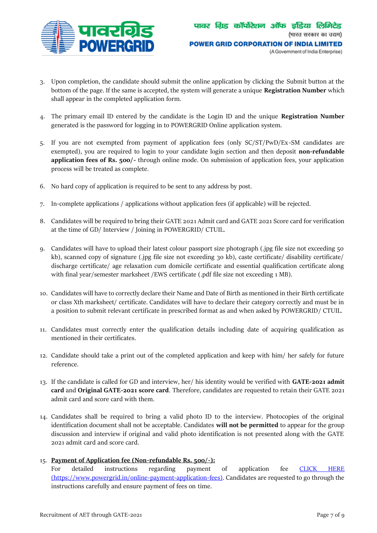

- 3. Upon completion, the candidate should submit the online application by clicking the Submit button at the bottom of the page. If the same is accepted, the system will generate a unique **Registration Number** which shall appear in the completed application form.
- 4. The primary email ID entered by the candidate is the Login ID and the unique **Registration Number** generated is the password for logging in to POWERGRID Online application system.
- 5. If you are not exempted from payment of application fees (only SC/ST/PwD/Ex-SM candidates are exempted), you are required to login to your candidate login section and then deposit **non-refundable application fees of Rs. 500/-** through online mode. On submission of application fees, your application process will be treated as complete.
- 6. No hard copy of application is required to be sent to any address by post.
- 7. In-complete applications / applications without application fees (if applicable) will be rejected.
- 8. Candidates will be required to bring their GATE 2021 Admit card and GATE 2021 Score card for verification at the time of GD/ Interview / Joining in POWERGRID/ CTUIL.
- 9. Candidates will have to upload their latest colour passport size photograph (.jpg file size not exceeding 50 kb), scanned copy of signature (.jpg file size not exceeding 30 kb), caste certificate/ disability certificate/ discharge certificate/ age relaxation cum domicile certificate and essential qualification certificate along with final year/semester marksheet /EWS certificate (.pdf file size not exceeding 1 MB).
- 10. Candidates will have to correctly declare their Name and Date of Birth as mentioned in their Birth certificate or class Xth marksheet/ certificate. Candidates will have to declare their category correctly and must be in a position to submit relevant certificate in prescribed format as and when asked by POWERGRID/ CTUIL.
- 11. Candidates must correctly enter the qualification details including date of acquiring qualification as mentioned in their certificates.
- 12. Candidate should take a print out of the completed application and keep with him/ her safely for future reference.
- 13. If the candidate is called for GD and interview, her/ his identity would be verified with **GATE-2021 admit card** and **Original GATE-2021 score card**. Therefore, candidates are requested to retain their GATE 2021 admit card and score card with them.
- 14. Candidates shall be required to bring a valid photo ID to the interview. Photocopies of the original identification document shall not be acceptable. Candidates **will not be permitted** to appear for the group discussion and interview if original and valid photo identification is not presented along with the GATE 2021 admit card and score card.

## 15. **Payment of Application fee (Non-refundable Rs. 500/-):**

For detailed instructions regarding payment of application fee [CLICK HERE](https://www.powergrid.in/online-payment-application-fees)  [\(https://www.powergrid.in/online-payment-application-fees\).](https://www.powergrid.in/online-payment-application-fees) Candidates are requested to go through the instructions carefully and ensure payment of fees on time.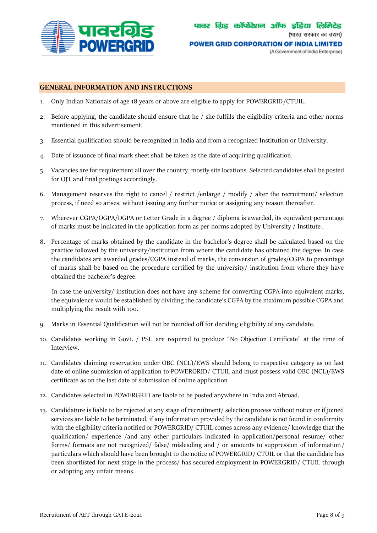

## **GENERAL INFORMATION AND INSTRUCTIONS**

- 1. Only Indian Nationals of age 18 years or above are eligible to apply for POWERGRID/CTUIL.
- 2. Before applying, the candidate should ensure that he / she fulfills the eligibility criteria and other norms mentioned in this advertisement.
- 3. Essential qualification should be recognized in India and from a recognized Institution or University.
- 4. Date of issuance of final mark sheet shall be taken as the date of acquiring qualification.
- 5. Vacancies are for requirement all over the country, mostly site locations. Selected candidates shall be posted for OJT and final postings accordingly.
- 6. Management reserves the right to cancel / restrict /enlarge / modify / alter the recruitment/ selection process, if need so arises, without issuing any further notice or assigning any reason thereafter.
- 7. Wherever CGPA/OGPA/DGPA or Letter Grade in a degree / diploma is awarded, its equivalent percentage of marks must be indicated in the application form as per norms adopted by University / Institute .
- 8. Percentage of marks obtained by the candidate in the bachelor's degree shall be calculated based on the practice followed by the university/institution from where the candidate has obtained the degree. In case the candidates are awarded grades/CGPA instead of marks, the conversion of grades/CGPA to percentage of marks shall be based on the procedure certified by the university/ institution from where they have obtained the bachelor's degree.

 In case the university/ institution does not have any scheme for converting CGPA into equivalent marks, the equivalence would be established by dividing the candidate's CGPA by the maximum possible CGPA and multiplying the result with 100.

- 9. Marks in Essential Qualification will not be rounded off for deciding eligibility of any candidate.
- 10. Candidates working in Govt. / PSU are required to produce "No Objection Certificate" at the time of Interview.
- 11. Candidates claiming reservation under OBC (NCL)/EWS should belong to respective category as on last date of online submission of application to POWERGRID/ CTUIL and must possess valid OBC (NCL)/EWS certificate as on the last date of submission of online application.
- 12. Candidates selected in POWERGRID are liable to be posted anywhere in India and Abroad.
- 13. Candidature is liable to be rejected at any stage of recruitment/ selection process without notice or if joined services are liable to be terminated, if any information provided by the candidate is not found in conformity with the eligibility criteria notified or POWERGRID/ CTUIL comes across any evidence/ knowledge that the qualification/ experience /and any other particulars indicated in application/personal resume/ other forms/ formats are not recognized/ false/ misleading and / or amounts to suppression of information/ particulars which should have been brought to the notice of POWERGRID/ CTUIL or that the candidate has been shortlisted for next stage in the process/ has secured employment in POWERGRID/ CTUIL through or adopting any unfair means.